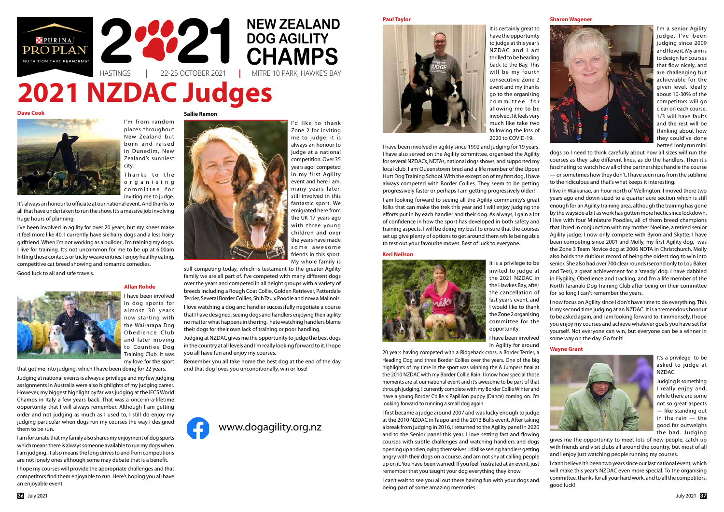Thanks to the o r g a n i s i n g committee for inviting me to judge.

I'm from random places throughout New Zealand but born and raised in Dunedim, New Zealand's sunniest city.

It's always an honour to officiate at our national event. And thanks to all that have undertaken to run the show. It's a massive job involving huge hours of planning.

I've been involved in agility for over 20 years, but my knees make it feel more like 40. I currently have six hairy dogs and a less hairy girlfriend. When I'm not working as a builder, i'm training my dogs. I live for training. It's not uncommon for me to be up at 6:00am hitting those contacts or tricky weave entries. I enjoy healthy eating, competitive cat breed showing and romantic comedies.

Good luck to all and safe travels.



#### **Wayne Grant**



It's a privilege to be asked to judge at NZDAC.

Judging is something I really enjoy and, while there are some not so great aspects — like standing out in the rain — the good far outweighs the bad. Judging

gives me the opportunity to meet lots of new people, catch up with friends and visit clubs all around the country, but most of all and I enjoy just watching people running my courses.

I can't believe it's been two years since our last national event, which will make this year's NZDAC even more special. To the organising committee, thanks for all your hard work, and to all the competitors, good luck!

## **Allan Rohde**

I have been involved in dog sports for almost 30 years now starting with the Wairarapa Dog Obedience Club and later moving to Counties Dog Training Club. It was my love for the sport

that got me into judging, which I have been doing for 22 years.

Judging at national events is always a privilege and my few judging assignments in Australia were also highlights of my judging career. However, my biggest highlight by far was judging at the IFCS World Champs in Italy a few years back. That was a once-in-a-lifetime opportunity that I will always remember. Although I am getting older and not judging as much as I used to, I still do enjoy my judging particular when dogs run my courses the way I designed them to be run.

I am fortunate that my family also shares my enjoyment of dog sports which means there is always someone available to run my dogs when I am judging. It also means the long drives to and from competitions are not lonely ones although some may debate that is a benefit.

I hope my courses will provide the appropriate challenges and that competitors find them enjoyable to run. Here's hoping you all have an enjoyable event.

### **Paul Taylor**



It is certainly great to have the opportunity to judge at this year's NZDAC and I am thrilled to be heading back to the Bay. This will be my fourth consecutive Zone 2 event and my thanks go to the organising committee for allowing me to be involved. I it feels very much like take two following the loss of 2020 to COVID-19.

I have been involved in agility since 1992 and judging for 19 years. I have also served on the Agility committee, organised the Agility for several NZDACs, NDTAs, national dogs shows, and supported my local club. I am Queenstown bred and a life member of the Upper Hutt Dog Training School. With the exception of my first dog, I have always competed with Border Collies. They seem to be getting progressively faster or perhaps I am getting progressively older!

# **HASTINGS 2020 2 HAMPS** 22-25 OCTOBER 2021 MITRE 10 PARK, HAWKE'S BAY **DOG AGILITY CHAMPS Dave Cook 2021 NZDAC Judges**



I am looking forward to seeing all the Agility community's great folks that can make the trek this year and I will enjoy judging the efforts put in by each handler and their dog. As always, I gain a lot of confidence in how the sport has developed in both safety and training aspects. I will be doing my best to ensure that the courses set up give plenty of options to get around them while being able to test out your favourite moves. Best of luck to everyone.

#### **Sharon Wagener**



I'm a senior Agility judge. I've been judging since 2009 and I love it. My aim is to design fun courses that flow nicely, and are challenging but achievable for the given level. Ideally about 10-30% of the competitors will go clear on each course, 1/3 will have faults and the rest will be thinking about how they could've done better! I only run mini

dogs so I need to think carefully about how all sizes will run the courses as they take different lines, as do the handlers. Then it's fascinating to watch how all of the partnerships handle the course — or sometimes how they don't. I have seen runs from the sublime to the ridiculous and that's what keeps it interesting.

I live in Waikanae, an hour north of Wellington. I moved there two years ago and down-sized to a quarter acre section which is still enough for an Agility training area, although the training has gone by the wayside a bit as work has gotten more hectic since lockdown. I live with four Miniature Poodles, all of them breed champions that I bred in conjunction with my mother Noeline, a retired senior Agility judge. I now only compete with Byron and Skytte. I have been competing since 2001 and Molly, my first Agility dog, was the Zone 3 Team Novice dog at 2006 NDTA in Christchurch. Molly also holds the dubious record of being the oldest dog to win into senior. She also had over 700 clear rounds (second only to Lou Baker and Tess), a great achievement for a 'steady' dog. I have dabbled in Flygility, Obedience and tracking, and I'm a life member of the North Taranaki Dog Training Club after being on their committee for so long I can't remember the years.

I now focus on Agility since I don't have time to do everything. This is my second time judging at an NZDAC. It is a tremendous honour to be asked again, and I am looking forward to it immensely. I hope you enjoy my courses and achieve whatever goals you have set for yourself. Not everyone can win, but everyone can be a winner in some way on the day. Go for it!

#### **Keri Neilson**



It is a privilege to be invited to judge at the 2021 NZDAC in the Hawkes Bay, after the cancellation of last year's event, and I would like to thank the Zone 2 organising committee for the opportunity.

I have been involved in Agility for around

20 years having competed with a Ridgeback cross, a Border Terrier, a Heading Dog and three Border Collies over the years. One of the big highlights of my time in the sport was winning the A Jumpers final at the 2010 NZDAC with my Border Collie Rain. I know how special those moments are at our national event and it's awesome to be part of that through judging. I currently complete with my Border Collie Winter and have a young Border Collie x Papillion puppy (Dance) coming on. I'm looking forward to running a small dog again.

I first became a judge around 2007 and was lucky enough to judge at the 2010 NZDAC in Taupo and the 2013 Bulls event. After taking a break from judging in 2016, I returned to the Agility panel in 2020 and to the Senior panel this year. I love setting fast and flowing courses with subtle challenges and watching handlers and dogs opening up and enjoying themselves. I dislike seeing handlers getting angry with their dogs on a course, and am not shy at calling people up on it. You have been warned! If you feel frustrated at an event, just remember that you taught your dog everything they know.

I can't wait to see you all out there having fun with your dogs and being part of some amazing memories.

**Sallie Remon**



I'd like to thank Zone 2 for inviting me to judge: it is always an honour to judge at a national competition. Over 35 years ago I competed in my first Agility event and here I am, many years later, still involved in this fantastic sport. We emigrated here from the UK 17 years ago with three young children and over the years have made some awesome friends in this sport. My whole family is

still competing today, which is testament to the greater Agility family we are all part of. I've competed with many different dogs over the years and competed in all height groups with a variety of breeds including a Rough Coat Collie, Golden Retriever, Patterdale Terrier, Several Border Collies, Shih Tzu x Poodle and now a Malinois.

I love watching a dog and handler successfully negotiate a course that I have designed, seeing dogs and handlers enjoying their agility no matter what happens in the ring. hate watching handlers blame their dogs for their own lack of training or poor handling.

Judging at NZDAC gives me the opportunity to judge the best dogs in the country at all levels and I'm really looking forward to it. I hope you all have fun and enjoy my courses.

Remember you all take home the best dog at the end of the day and that dog loves you unconditionally, win or lose!